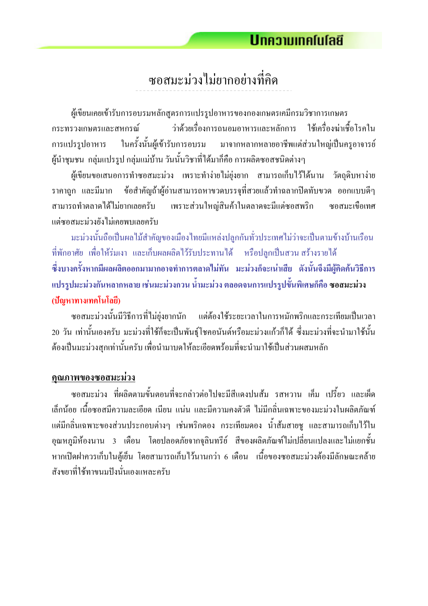ี ซอสมะม่วงไม่ยากอย่างที่คิด

ผู้เขียนเคยเข้ารับการอบรมหลักสูตรการแปรรูปอาหารของกองเกษตรเคมีกรมวิชาการเกษตร ้ว่าด้วยเรื่องการถนอมอาหารและหลักการ ใช้เครื่องฆ่าเชื้อโรคใน กระทรวงเกษตรและสหกรณ์ ในครั้งนั้นผู้เข้ารับการอบรม มาจากหลากหลายอาชีพแต่ส่วนใหญ่เป็นครูอาจารย์ การแปรรูปอาหาร ผู้นำชุมชน กลุ่มแปรรูป กลุ่มแม่บ้าน วันนั้นวิชาที่ได้มาก็คือ การผลิตซอสชนิดต่างๆ

ผู้เขียนขอเสนอการทำซอสมะม่วง เพราะทำง่ายไม่ยุ่งยาก สามารถเกีบไว้ได้นาน วัตถุดิบหาง่าย ข้อสำคัญถ้าผู้อ่านสามารถหาขวคบรรจุที่สวยแล้วทำฉลากปิดทับขวด ออกแบบดีๆ ราคาถก และมีมาก เพราะส่วนใหญ่สินค้าในตลาคจะมีแต่ซอสพริก สามารถทำตลาดได้ไม่ยากเลยครับ ซอสมะเบื้อเทศ แต่ซอสมะม่วงยังไม่เคยพบเลยครับ

มะม่วงนั้นถือเป็นผลไม้สำคัญของเมืองไทยมีแหล่งปลูกกันทั่วประเทศไม่ว่าจะเป็นตามข้างบ้านเรือน ีที่พักอาศัย เพื่อให้ร่มเงา และเก็บผลผลิตไว้รับประทานได้ หรือปลกเป็นสวนสร้างรายได้ ์ ซึ่งบางครั้งหากมีผลผลิตออกมามากอาจทำการตลาดไม่ทัน มะม่วงก็จะเน่าเสีย ดังนั้นจึงมีผู้คิดค้นวิธีการ แปรรูปมะม่วงกันหลากหลาย เช่นมะม่วงกวน น้ำมะม่วง ตลอดจนการแปรรูปขั้นพิเศษก็คือ ซอสมะม่วง (ปัญหาทางเทคโนโลยี)

ีซอสมะม่วงนั้นมีวิธีการที่ไม่ยุ่งยากนัก แต่ต้องใช้ระยะเวลาในการหมักพริกและกระเทียมเป็นเวลา 20 วัน เท่านั้นเองครับ มะม่วงที่ใช้ก็จะเป็นพันธุ์โชคอนันต์หรือมะม่วงแก้วก็ได้ ซึ่งมะม่วงที่จะนำมาใช้นั้น ้ต้องเป็นมะม่วงสุกเท่านั้นครับ เพื่อนำมาบดให้ละเอียดพร้อมที่จะนำมาใช้เป็นส่วนผสมหลัก

#### <u>คุณภาพของซอสมะม่วง</u>

ี ซอสมะม่วง ที่ผลิตตามขั้นตอนที่จะกล่าวต่อไปจะมีสีแคงปนส้ม รสหวาน เค็ม เปรี้ยว และเผ็ด ้เล็กน้อย เนื้อซอสมีความละเอียด เนียน แน่น และมีความคงตัวดี ไม่มีกลิ่นเฉพาะของมะม่วงในผลิตภัณฑ์ ้ แต่มีกลิ่นเฉพาะของส่วนประกอบต่างๆ เช่นพริกดอง กระเทียมดอง น้ำส้มสายชู และสามารถเก็บไว้ใน ้อุณหภูมิห้องนาน 3 เคือน โดยปลอดภัยจากจุลินทรีย์ สีของผลิตภัณฑ์ใม่เปลี่ยนแปลงและใม่แยกชั้น ี หากเปิดฝาควรเก็บในต้เข็น โดยสามารถเก็บไว้นานกว่า 6 เดือน เนื้อของซอสมะม่วงต้องมีลักษณะคล้าย ้<br>สังขยาที่ใช้ทาขบบปังบับเองแหละครับ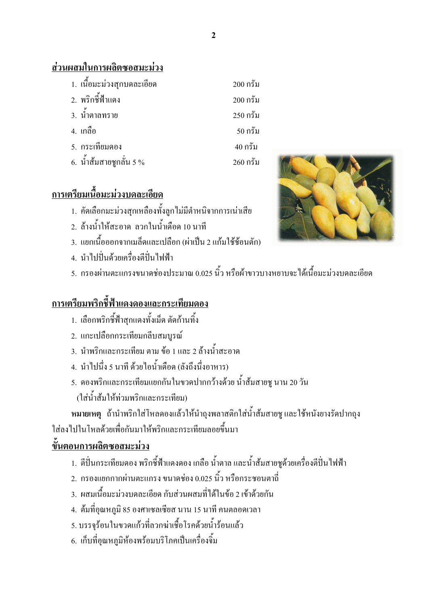### ส่วนผสมในการผลิตซอสมะม่วง

| 1. เนื้อมะม่วงสุกบคละเอียด | $200$ กรัม |
|----------------------------|------------|
| 2. พริกชี้ฟ้าแดง           | $200$ กรัม |
| 3. น้ำตาลทราย              | $250$ กรัม |
| 4. เกลือ                   | $50$ กรัม  |
| 5. กระเทียมดอง             | $40$ กรัม  |
| 6. น้ำส้มสายชูกลั่น 5 %    | $260$ กรัม |

## ิการเตรียมเนื้อมะม่วงบดละเอียด

- 1. คัดเลือกมะม่วงสุกเหลืองทั้งลูกไม่มีตำหนิจากการเน่าเสีย
- 2. ถ้างน้ำให้สะอาด ลวกในน้ำเดือด 10 นาที
- ่ 3 แยกเบิ้อออกจากเบล็ดและเปลือก (ผ่าเป็น 2 แก้บใช้ช้อบตัก)
- 4 บำไปปั่นด้วยเครื่องตีปั่นไฟฟ้า
- 5. กรองผ่านตะแกรงขนาดช่องประมาณ 0.025 นิ้ว หรือผ้าขาวบางหยาบจะได้เนื้อมะม่วงบดละเอียด

## <u>การเตรียมพริกขี้ฟ้าแดงดองและกระเทียมดอง</u>

- 1. เลือกพริกชี้ฟ้าสุกแคงทั้งเม็ด ตัดก้านทิ้ง
- 2. แกะเปลือกกระเทียมกลีบสมบรณ์
- 3. นำพริกและกระเทียม ตาม ข้อ 1 และ 2 ล้างน้ำสะอาด
- 4. นำไปนึ่ง 5 นาที ด้วยไอน้ำเดือด (ลังถึงนึ่งอาหาร)
- 5. คองพริกและกระเทียมแยกกันในขวดปากกว้างด้วย น้ำส้มสายช นาน 20 วัน (ใส่น้ำส้มให้ท่วมพริกและกระเทียม)
- หมายเหตุ ถ้านำพริกใส่โหลดองแล้วให้นำถุงพลาสติกใส่น้ำส้มสายชูและใช้หนังยางรัดปากถุง

ใส่ลงไปในโหลด้วยเพื่อกันมาให้พริกและกระเทียมลอยขึ้นมา

## <u>ขั้นตอนการผลิตซอสมะม่วง</u>

- 1. ตีปั่นกระเทียมดอง พริกซี้ฟ้าแดงดอง เกลือ น้ำตาล และน้ำส้มสายชูด้วยเกรื่องตีปั่นไฟฟ้า
- 2. กรองแยกกากผ่านตะแกรง ขนาดช่อง 0.025 นิ้ว หรือกระชอนตาถี่
- 3. ผสมเนื้อมะม่วงบดละเอียด กับส่วนผสมที่ได้ในข้อ 2 เข้าด้วยกัน
- 4. ต้มที่อุณหภูมิ 85 องศาเซลเซียส นาน 15 นาที คนตลอดเวลา
- 5. บรรจุร้อนในขวดแก้วที่ลวกฆ่าเชื้อโรคด้วยน้ำร้อนแล้ว
- 6. เก็บที่อุณหภูมิห้องพร้อมบริโภคเป็นเครื่องจิ้ม

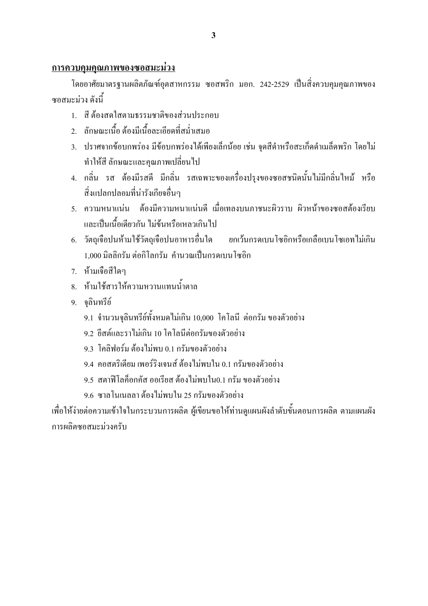#### <u>การควบคุมคุณภาพของซอสมะม่วง</u>

โดยอาศัยมาตรฐานผลิตภัณฑ์อุตสาหกรรม ซอสพริก มอก. 242-2529 เป็นสิ่งควบคุมคุณภาพของ หอสมะบ่าง ดังนี้

- 1 สีต้องสดใสตามธรรมหาติของส่วนประกอบ
- ่ 2 ลักนณะเนื้อ ต้องมีเนื้อละเอียดที่สม่ำเสมอ
- 3. ปราศจากข้อบกพร่อง มีข้อบกพร่องได้เพียงเล็กน้อย เช่น จดสีดำหรือสะเก็ดดำเมล็ดพริก โดยไม่ ทำให้สี ลักษณะและคณภาพเปลี่ยนไป
- ่ 4. กลิ่น รส ต้องมีรสดี มีกลิ่น รสเฉพาะของเครื่องปรุงของซอสชนิดนั้นไม่มีกลิ่นไหม้ หรือ สิ่งแปลกปลอมที่น่ารังเกียจอื่นๆ
- 5. ความหนาแน่น ต้องมีความหนาแน่นดี เมื่อเทลงบนภาชนะผิวราบ ผิวหน้าของซอสต้องเรียบ ้และเป็นเนื้อเดียวกัน ไม่ข้นหรือเหลวเกินไป
- 6. วัตถุเจือปนห้ามใช้วัตถุเจือปนอาหารอื่นใด ่ ยกเว้นกรดเบนโซอิกหรือเกลือเบนโซเอทไม่เกิน 1,000 มิลลิกรัม ต่อกิโลกรัม คำนวณเป็นกรดเบนโซอิก
- 7. ห้ามเจือสีใดๆ
- ี่ 8. ห้ามใช้สารให้ความหวานแทนน้ำตาล
- 9. จลินทรีย์
	- 9.1 จำนวนจุลินทรีย์ทั้งหมดไม่เกิน 10,000 โคโลนี ต่อกรัม ของตัวอย่าง
	- 9.2 ปีสต์และราไม่เกิน 10 โคโลนีต่อกรัมของตัวอย่าง
	- 9.3 โคลิฟอร์ม ต้องไม่พบ 0.1 กรัมของตัวอย่าง
	- 9.4 คอสตริเดียม เพอร์ริงเจนส์ ต้องไม่พบใน 0.1 กรัมของตัวอย่าง
	- 9.5 สตาฟีโลก็อกกัส ออเรียส ต้องไม่พบใน0.1 กรัม ของตัวอย่าง
	- 9.6 ซาลโนเนลลา ต้องไม่พบใน 25 กรัมของตัวอย่าง

้ เพื่อให้ง่ายต่อความเข้าใจในกระบวนการผลิต ผู้เขียนขอให้ท่านดูแผนผังลำดับขั้นตอนการผลิต ตามแผนผัง การผลิตซอสมะบ่วงครับ